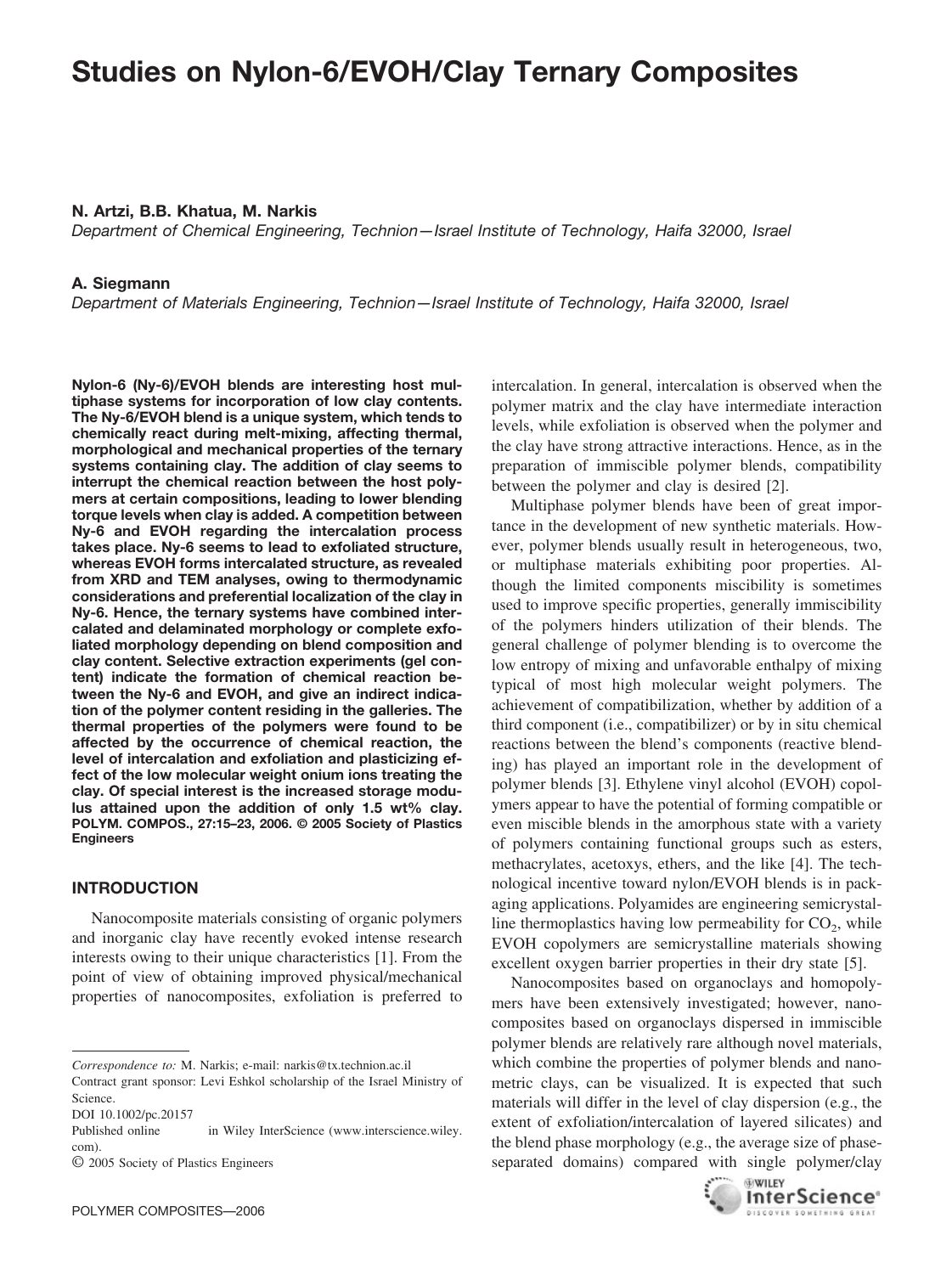# **Studies on Nylon-6/EVOH/Clay Ternary Composites**

#### **N. Artzi, B.B. Khatua, M. Narkis**

*Department of Chemical Engineering, Technion—Israel Institute of Technology, Haifa 32000, Israel*

## **A. Siegmann**

*Department of Materials Engineering, Technion—Israel Institute of Technology, Haifa 32000, Israel*

**Nylon-6 (Ny-6)/EVOH blends are interesting host multiphase systems for incorporation of low clay contents. The Ny-6/EVOH blend is a unique system, which tends to chemically react during melt-mixing, affecting thermal, morphological and mechanical properties of the ternary systems containing clay. The addition of clay seems to interrupt the chemical reaction between the host polymers at certain compositions, leading to lower blending torque levels when clay is added. A competition between Ny-6 and EVOH regarding the intercalation process takes place. Ny-6 seems to lead to exfoliated structure, whereas EVOH forms intercalated structure, as revealed from XRD and TEM analyses, owing to thermodynamic considerations and preferential localization of the clay in Ny-6. Hence, the ternary systems have combined intercalated and delaminated morphology or complete exfoliated morphology depending on blend composition and clay content. Selective extraction experiments (gel content) indicate the formation of chemical reaction between the Ny-6 and EVOH, and give an indirect indication of the polymer content residing in the galleries. The thermal properties of the polymers were found to be affected by the occurrence of chemical reaction, the level of intercalation and exfoliation and plasticizing effect of the low molecular weight onium ions treating the clay. Of special interest is the increased storage modulus attained upon the addition of only 1.5 wt% clay. POLYM. COMPOS., 27:15–23, 2006. © 2005 Society of Plastics Engineers**

# **INTRODUCTION**

Nanocomposite materials consisting of organic polymers and inorganic clay have recently evoked intense research interests owing to their unique characteristics [1]. From the point of view of obtaining improved physical/mechanical properties of nanocomposites, exfoliation is preferred to

DOI 10.1002/pc.20157

intercalation. In general, intercalation is observed when the polymer matrix and the clay have intermediate interaction levels, while exfoliation is observed when the polymer and the clay have strong attractive interactions. Hence, as in the preparation of immiscible polymer blends, compatibility between the polymer and clay is desired [2].

Multiphase polymer blends have been of great importance in the development of new synthetic materials. However, polymer blends usually result in heterogeneous, two, or multiphase materials exhibiting poor properties. Although the limited components miscibility is sometimes used to improve specific properties, generally immiscibility of the polymers hinders utilization of their blends. The general challenge of polymer blending is to overcome the low entropy of mixing and unfavorable enthalpy of mixing typical of most high molecular weight polymers. The achievement of compatibilization, whether by addition of a third component (i.e., compatibilizer) or by in situ chemical reactions between the blend's components (reactive blending) has played an important role in the development of polymer blends [3]. Ethylene vinyl alcohol (EVOH) copolymers appear to have the potential of forming compatible or even miscible blends in the amorphous state with a variety of polymers containing functional groups such as esters, methacrylates, acetoxys, ethers, and the like [4]. The technological incentive toward nylon/EVOH blends is in packaging applications. Polyamides are engineering semicrystalline thermoplastics having low permeability for  $CO<sub>2</sub>$ , while EVOH copolymers are semicrystalline materials showing excellent oxygen barrier properties in their dry state [5].

Nanocomposites based on organoclays and homopolymers have been extensively investigated; however, nanocomposites based on organoclays dispersed in immiscible polymer blends are relatively rare although novel materials, which combine the properties of polymer blends and nanometric clays, can be visualized. It is expected that such materials will differ in the level of clay dispersion (e.g., the extent of exfoliation/intercalation of layered silicates) and the blend phase morphology (e.g., the average size of phaseseparated domains) compared with single polymer/clay



*Correspondence to:* M. Narkis; e-mail: narkis@tx.technion.ac.il Contract grant sponsor: Levi Eshkol scholarship of the Israel Ministry of Science.

Published online in Wiley InterScience (www.interscience.wiley. com).

<sup>©</sup> 2005 Society of Plastics Engineers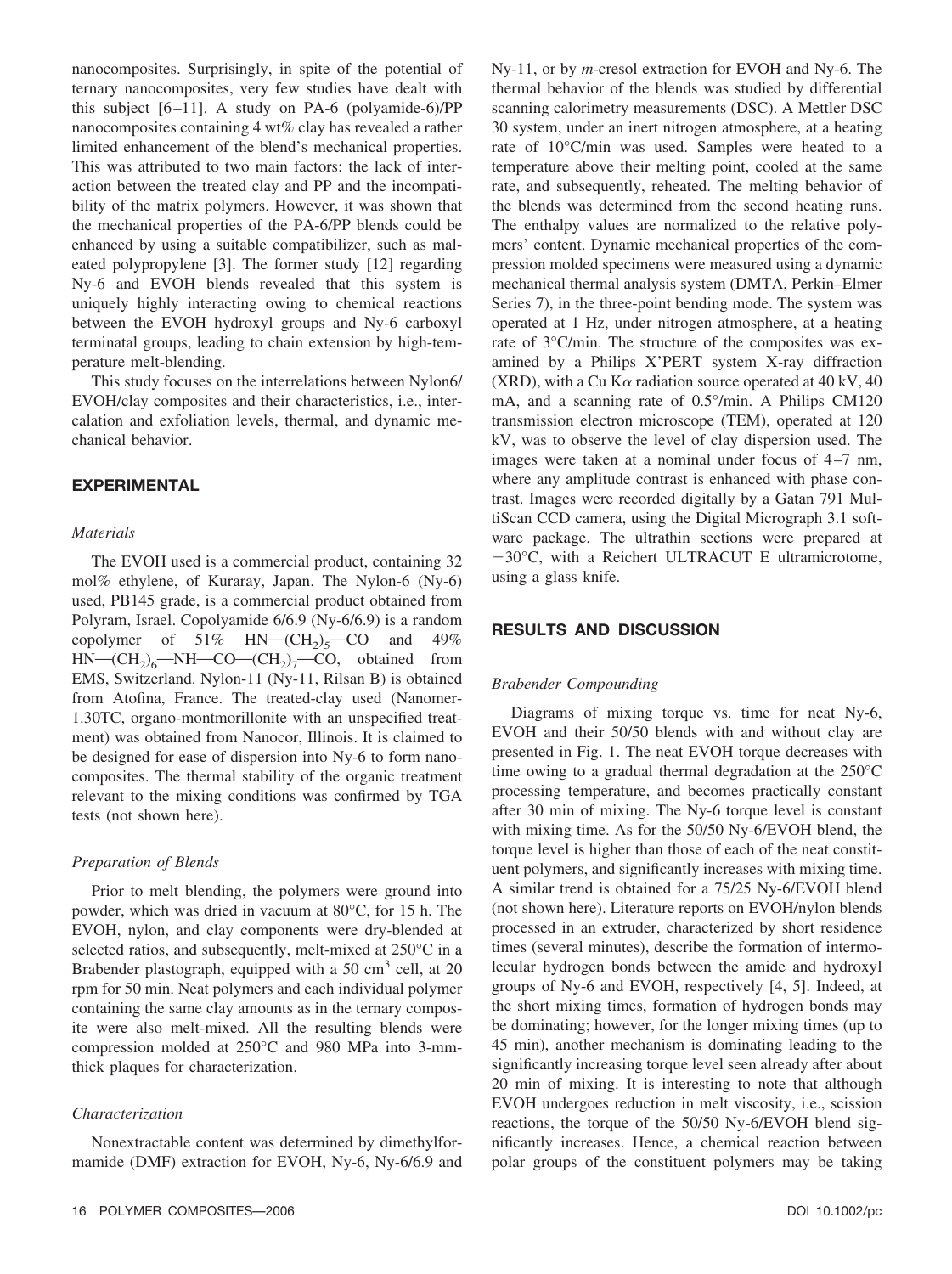nanocomposites. Surprisingly, in spite of the potential of ternary nanocomposites, very few studies have dealt with this subject  $[6-11]$ . A study on PA-6 (polyamide-6)/PP nanocomposites containing 4 wt% clay has revealed a rather limited enhancement of the blend's mechanical properties. This was attributed to two main factors: the lack of interaction between the treated clay and PP and the incompatibility of the matrix polymers. However, it was shown that the mechanical properties of the PA-6/PP blends could be enhanced by using a suitable compatibilizer, such as maleated polypropylene [3]. The former study [12] regarding Ny-6 and EVOH blends revealed that this system is uniquely highly interacting owing to chemical reactions between the EVOH hydroxyl groups and Ny-6 carboxyl terminatal groups, leading to chain extension by high-temperature melt-blending.

This study focuses on the interrelations between Nylon6/ EVOH/clay composites and their characteristics, i.e., intercalation and exfoliation levels, thermal, and dynamic mechanical behavior.

# **EXPERIMENTAL**

## *Materials*

The EVOH used is a commercial product, containing 32 mol% ethylene, of Kuraray, Japan. The Nylon-6 (Ny-6) used, PB145 grade, is a commercial product obtained from Polyram, Israel. Copolyamide 6/6.9 (Ny-6/6.9) is a random copolymer of  $51\%$  HN- $(CH_2)5$ <sup>-CO</sup> and  $49\%$  $HN—CH<sub>2</sub>)<sub>6</sub>—NH—CO—CH<sub>2</sub>)<sub>7</sub>—CO, obtained from$ EMS, Switzerland. Nylon-11 (Ny-11, Rilsan B) is obtained from Atofina, France. The treated-clay used (Nanomer-1.30TC, organo-montmorillonite with an unspecified treatment) was obtained from Nanocor, Illinois. It is claimed to be designed for ease of dispersion into Ny-6 to form nanocomposites. The thermal stability of the organic treatment relevant to the mixing conditions was confirmed by TGA tests (not shown here).

## *Preparation of Blends*

Prior to melt blending, the polymers were ground into powder, which was dried in vacuum at 80°C, for 15 h. The EVOH, nylon, and clay components were dry-blended at selected ratios, and subsequently, melt-mixed at 250°C in a Brabender plastograph, equipped with a 50  $\text{cm}^3$  cell, at 20 rpm for 50 min. Neat polymers and each individual polymer containing the same clay amounts as in the ternary composite were also melt-mixed. All the resulting blends were compression molded at 250°C and 980 MPa into 3-mmthick plaques for characterization.

## *Characterization*

Nonextractable content was determined by dimethylformamide (DMF) extraction for EVOH, Ny-6, Ny-6/6.9 and

Ny-11, or by *m*-cresol extraction for EVOH and Ny-6. The thermal behavior of the blends was studied by differential scanning calorimetry measurements (DSC). A Mettler DSC 30 system, under an inert nitrogen atmosphere, at a heating rate of 10°C/min was used. Samples were heated to a temperature above their melting point, cooled at the same rate, and subsequently, reheated. The melting behavior of the blends was determined from the second heating runs. The enthalpy values are normalized to the relative polymers' content. Dynamic mechanical properties of the compression molded specimens were measured using a dynamic mechanical thermal analysis system (DMTA, Perkin–Elmer Series 7), in the three-point bending mode. The system was operated at 1 Hz, under nitrogen atmosphere, at a heating rate of 3°C/min. The structure of the composites was examined by a Philips X'PERT system X-ray diffraction (XRD), with a Cu K $\alpha$  radiation source operated at 40 kV, 40 mA, and a scanning rate of 0.5°/min. A Philips CM120 transmission electron microscope (TEM), operated at 120 kV, was to observe the level of clay dispersion used. The images were taken at a nominal under focus of 4-7 nm, where any amplitude contrast is enhanced with phase contrast. Images were recorded digitally by a Gatan 791 MultiScan CCD camera, using the Digital Micrograph 3.1 software package. The ultrathin sections were prepared at 30°C, with a Reichert ULTRACUT E ultramicrotome, using a glass knife.

# **RESULTS AND DISCUSSION**

#### *Brabender Compounding*

Diagrams of mixing torque vs. time for neat Ny-6, EVOH and their 50/50 blends with and without clay are presented in Fig. 1. The neat EVOH torque decreases with time owing to a gradual thermal degradation at the 250°C processing temperature, and becomes practically constant after 30 min of mixing. The Ny-6 torque level is constant with mixing time. As for the 50/50 Ny-6/EVOH blend, the torque level is higher than those of each of the neat constituent polymers, and significantly increases with mixing time. A similar trend is obtained for a 75/25 Ny-6/EVOH blend (not shown here). Literature reports on EVOH/nylon blends processed in an extruder, characterized by short residence times (several minutes), describe the formation of intermolecular hydrogen bonds between the amide and hydroxyl groups of Ny-6 and EVOH, respectively [4, 5]. Indeed, at the short mixing times, formation of hydrogen bonds may be dominating; however, for the longer mixing times (up to 45 min), another mechanism is dominating leading to the significantly increasing torque level seen already after about 20 min of mixing. It is interesting to note that although EVOH undergoes reduction in melt viscosity, i.e., scission reactions, the torque of the 50/50 Ny-6/EVOH blend significantly increases. Hence, a chemical reaction between polar groups of the constituent polymers may be taking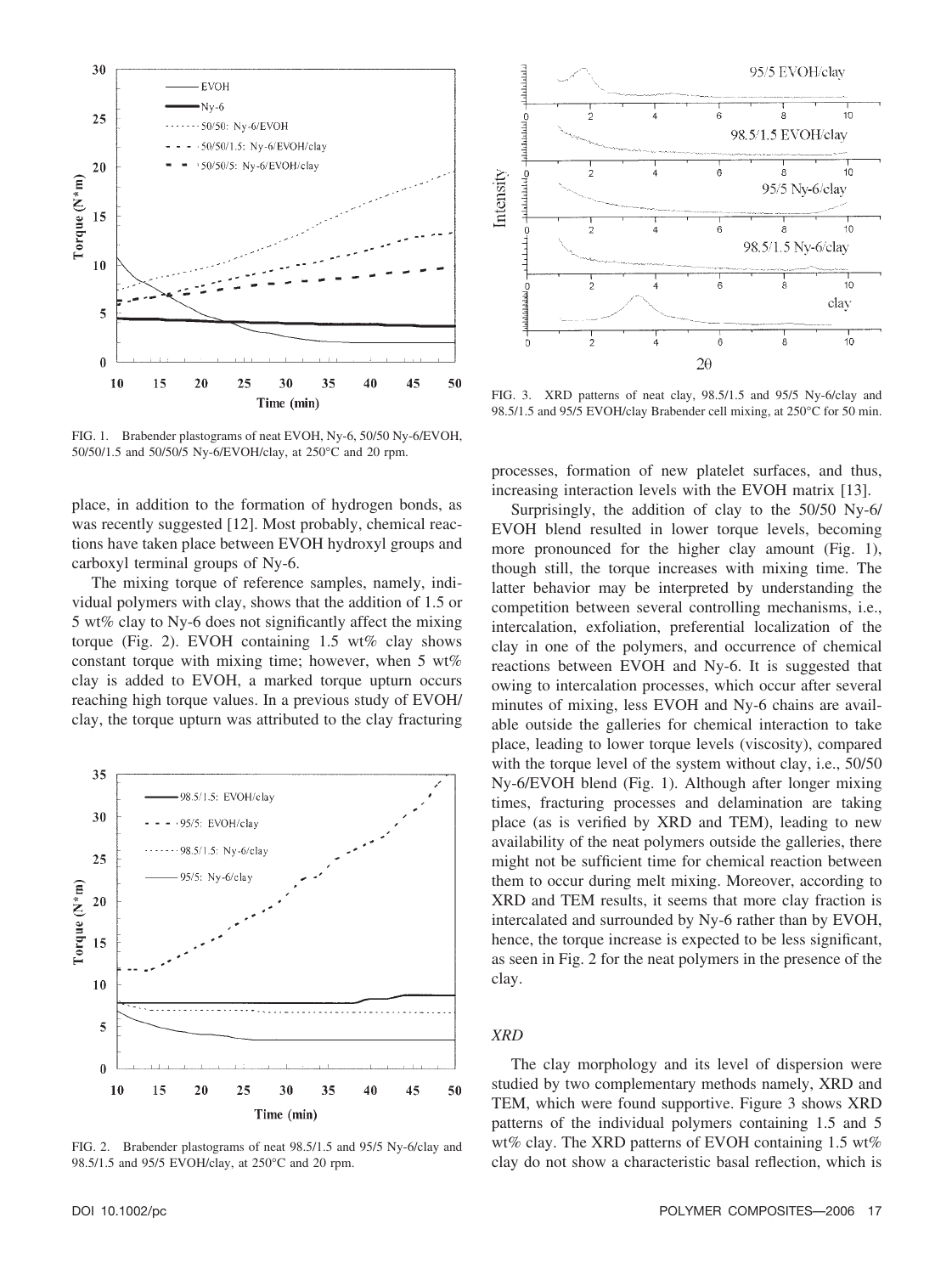

FIG. 1. Brabender plastograms of neat EVOH, Ny-6, 50/50 Ny-6/EVOH, 50/50/1.5 and 50/50/5 Ny-6/EVOH/clay, at 250°C and 20 rpm.

place, in addition to the formation of hydrogen bonds, as was recently suggested [12]. Most probably, chemical reactions have taken place between EVOH hydroxyl groups and carboxyl terminal groups of Ny-6.

The mixing torque of reference samples, namely, individual polymers with clay, shows that the addition of 1.5 or 5 wt% clay to Ny-6 does not significantly affect the mixing torque (Fig. 2). EVOH containing 1.5 wt% clay shows constant torque with mixing time; however, when 5 wt% clay is added to EVOH, a marked torque upturn occurs reaching high torque values. In a previous study of EVOH/ clay, the torque upturn was attributed to the clay fracturing



FIG. 2. Brabender plastograms of neat 98.5/1.5 and 95/5 Ny-6/clay and 98.5/1.5 and 95/5 EVOH/clay, at 250°C and 20 rpm.



FIG. 3. XRD patterns of neat clay, 98.5/1.5 and 95/5 Ny-6/clay and 98.5/1.5 and 95/5 EVOH/clay Brabender cell mixing, at 250°C for 50 min.

processes, formation of new platelet surfaces, and thus, increasing interaction levels with the EVOH matrix [13].

Surprisingly, the addition of clay to the 50/50 Ny-6/ EVOH blend resulted in lower torque levels, becoming more pronounced for the higher clay amount (Fig. 1), though still, the torque increases with mixing time. The latter behavior may be interpreted by understanding the competition between several controlling mechanisms, i.e., intercalation, exfoliation, preferential localization of the clay in one of the polymers, and occurrence of chemical reactions between EVOH and Ny-6. It is suggested that owing to intercalation processes, which occur after several minutes of mixing, less EVOH and Ny-6 chains are available outside the galleries for chemical interaction to take place, leading to lower torque levels (viscosity), compared with the torque level of the system without clay, *i.e.*, 50/50 Ny-6/EVOH blend (Fig. 1). Although after longer mixing times, fracturing processes and delamination are taking place (as is verified by XRD and TEM), leading to new availability of the neat polymers outside the galleries, there might not be sufficient time for chemical reaction between them to occur during melt mixing. Moreover, according to XRD and TEM results, it seems that more clay fraction is intercalated and surrounded by Ny-6 rather than by EVOH, hence, the torque increase is expected to be less significant, as seen in Fig. 2 for the neat polymers in the presence of the clay.

## *XRD*

The clay morphology and its level of dispersion were studied by two complementary methods namely, XRD and TEM, which were found supportive. Figure 3 shows XRD patterns of the individual polymers containing 1.5 and 5 wt% clay. The XRD patterns of EVOH containing 1.5 wt% clay do not show a characteristic basal reflection, which is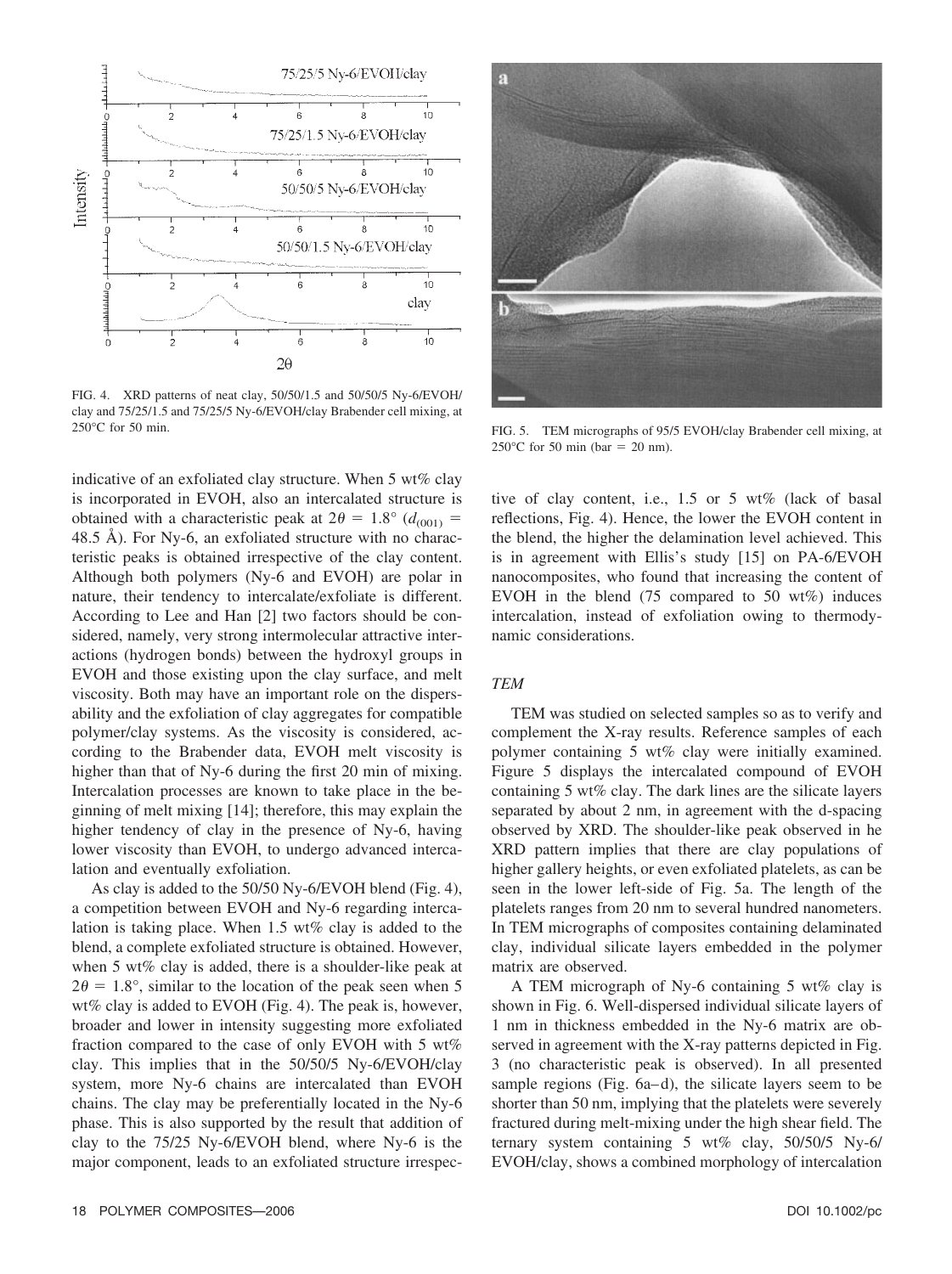

FIG. 4. XRD patterns of neat clay, 50/50/1.5 and 50/50/5 Ny-6/EVOH/ clay and 75/25/1.5 and 75/25/5 Ny-6/EVOH/clay Brabender cell mixing, at 250°C for 50 min. TEM micrographs of 95/5 EVOH/clay Brabender cell mixing, at

indicative of an exfoliated clay structure. When 5 wt% clay is incorporated in EVOH, also an intercalated structure is obtained with a characteristic peak at  $2\theta = 1.8^{\circ}$  ( $d_{(001)} =$ 48.5 Å). For Ny-6, an exfoliated structure with no characteristic peaks is obtained irrespective of the clay content. Although both polymers (Ny-6 and EVOH) are polar in nature, their tendency to intercalate/exfoliate is different. According to Lee and Han [2] two factors should be considered, namely, very strong intermolecular attractive interactions (hydrogen bonds) between the hydroxyl groups in EVOH and those existing upon the clay surface, and melt viscosity. Both may have an important role on the dispersability and the exfoliation of clay aggregates for compatible polymer/clay systems. As the viscosity is considered, according to the Brabender data, EVOH melt viscosity is higher than that of Ny-6 during the first 20 min of mixing. Intercalation processes are known to take place in the beginning of melt mixing [14]; therefore, this may explain the higher tendency of clay in the presence of Ny-6, having lower viscosity than EVOH, to undergo advanced intercalation and eventually exfoliation.

As clay is added to the 50/50 Ny-6/EVOH blend (Fig. 4), a competition between EVOH and Ny-6 regarding intercalation is taking place. When 1.5 wt% clay is added to the blend, a complete exfoliated structure is obtained. However, when 5 wt% clay is added, there is a shoulder-like peak at  $2\theta = 1.8^{\circ}$ , similar to the location of the peak seen when 5 wt% clay is added to EVOH (Fig. 4). The peak is, however, broader and lower in intensity suggesting more exfoliated fraction compared to the case of only EVOH with 5 wt% clay. This implies that in the 50/50/5 Ny-6/EVOH/clay system, more Ny-6 chains are intercalated than EVOH chains. The clay may be preferentially located in the Ny-6 phase. This is also supported by the result that addition of clay to the 75/25 Ny-6/EVOH blend, where Ny-6 is the major component, leads to an exfoliated structure irrespec-



 $250^{\circ}$ C for 50 min (bar = 20 nm).

tive of clay content, i.e., 1.5 or 5 wt% (lack of basal reflections, Fig. 4). Hence, the lower the EVOH content in the blend, the higher the delamination level achieved. This is in agreement with Ellis's study [15] on PA-6/EVOH nanocomposites, who found that increasing the content of EVOH in the blend (75 compared to 50 wt%) induces intercalation, instead of exfoliation owing to thermodynamic considerations.

## *TEM*

TEM was studied on selected samples so as to verify and complement the X-ray results. Reference samples of each polymer containing 5 wt% clay were initially examined. Figure 5 displays the intercalated compound of EVOH containing 5 wt% clay. The dark lines are the silicate layers separated by about 2 nm, in agreement with the d-spacing observed by XRD. The shoulder-like peak observed in he XRD pattern implies that there are clay populations of higher gallery heights, or even exfoliated platelets, as can be seen in the lower left-side of Fig. 5a. The length of the platelets ranges from 20 nm to several hundred nanometers. In TEM micrographs of composites containing delaminated clay, individual silicate layers embedded in the polymer matrix are observed.

A TEM micrograph of Ny-6 containing 5 wt% clay is shown in Fig. 6. Well-dispersed individual silicate layers of 1 nm in thickness embedded in the Ny-6 matrix are observed in agreement with the X-ray patterns depicted in Fig. 3 (no characteristic peak is observed). In all presented sample regions (Fig. 6a–d), the silicate layers seem to be shorter than 50 nm, implying that the platelets were severely fractured during melt-mixing under the high shear field. The ternary system containing 5 wt% clay, 50/50/5 Ny-6/ EVOH/clay, shows a combined morphology of intercalation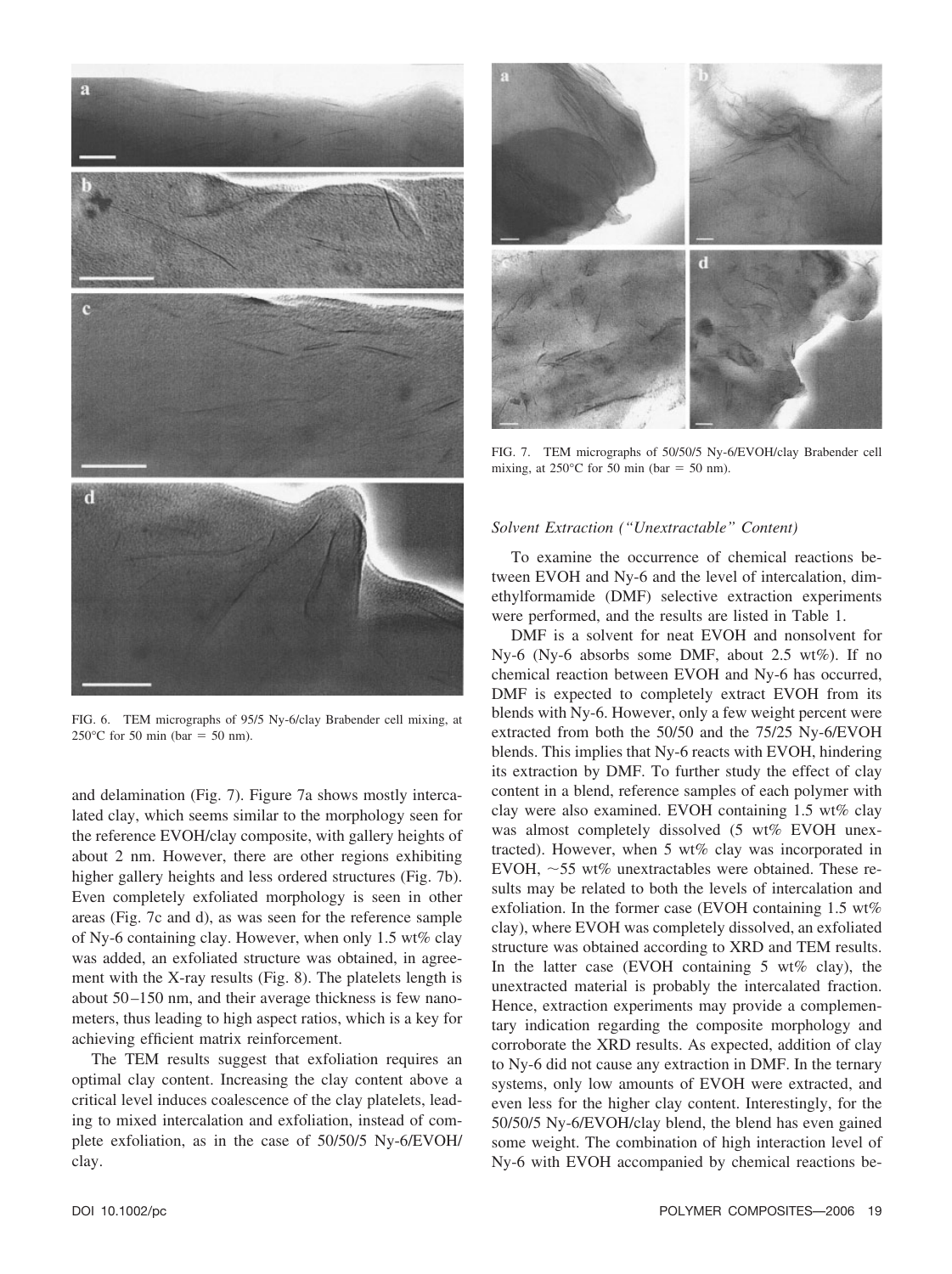

FIG. 6. TEM micrographs of 95/5 Ny-6/clay Brabender cell mixing, at  $250^{\circ}$ C for 50 min (bar = 50 nm).

and delamination (Fig. 7). Figure 7a shows mostly intercalated clay, which seems similar to the morphology seen for the reference EVOH/clay composite, with gallery heights of about 2 nm. However, there are other regions exhibiting higher gallery heights and less ordered structures (Fig. 7b). Even completely exfoliated morphology is seen in other areas (Fig. 7c and d), as was seen for the reference sample of Ny-6 containing clay. However, when only 1.5 wt% clay was added, an exfoliated structure was obtained, in agreement with the X-ray results (Fig. 8). The platelets length is about 50–150 nm, and their average thickness is few nanometers, thus leading to high aspect ratios, which is a key for achieving efficient matrix reinforcement.

The TEM results suggest that exfoliation requires an optimal clay content. Increasing the clay content above a critical level induces coalescence of the clay platelets, leading to mixed intercalation and exfoliation, instead of complete exfoliation, as in the case of 50/50/5 Ny-6/EVOH/ clay.



FIG. 7. TEM micrographs of 50/50/5 Ny-6/EVOH/clay Brabender cell mixing, at  $250^{\circ}$ C for 50 min (bar = 50 nm).

#### *Solvent Extraction ("Unextractable" Content)*

To examine the occurrence of chemical reactions between EVOH and Ny-6 and the level of intercalation, dimethylformamide (DMF) selective extraction experiments were performed, and the results are listed in Table 1.

DMF is a solvent for neat EVOH and nonsolvent for Ny-6 (Ny-6 absorbs some DMF, about 2.5 wt%). If no chemical reaction between EVOH and Ny-6 has occurred, DMF is expected to completely extract EVOH from its blends with Ny-6. However, only a few weight percent were extracted from both the 50/50 and the 75/25 Ny-6/EVOH blends. This implies that Ny-6 reacts with EVOH, hindering its extraction by DMF. To further study the effect of clay content in a blend, reference samples of each polymer with clay were also examined. EVOH containing  $1.5 \text{ wt\%}$  clay was almost completely dissolved (5 wt% EVOH unextracted). However, when 5 wt% clay was incorporated in EVOH,  $\sim$  55 wt% unextractables were obtained. These results may be related to both the levels of intercalation and exfoliation. In the former case (EVOH containing 1.5 wt% clay), where EVOH was completely dissolved, an exfoliated structure was obtained according to XRD and TEM results. In the latter case (EVOH containing 5 wt% clay), the unextracted material is probably the intercalated fraction. Hence, extraction experiments may provide a complementary indication regarding the composite morphology and corroborate the XRD results. As expected, addition of clay to Ny-6 did not cause any extraction in DMF. In the ternary systems, only low amounts of EVOH were extracted, and even less for the higher clay content. Interestingly, for the 50/50/5 Ny-6/EVOH/clay blend, the blend has even gained some weight. The combination of high interaction level of Ny-6 with EVOH accompanied by chemical reactions be-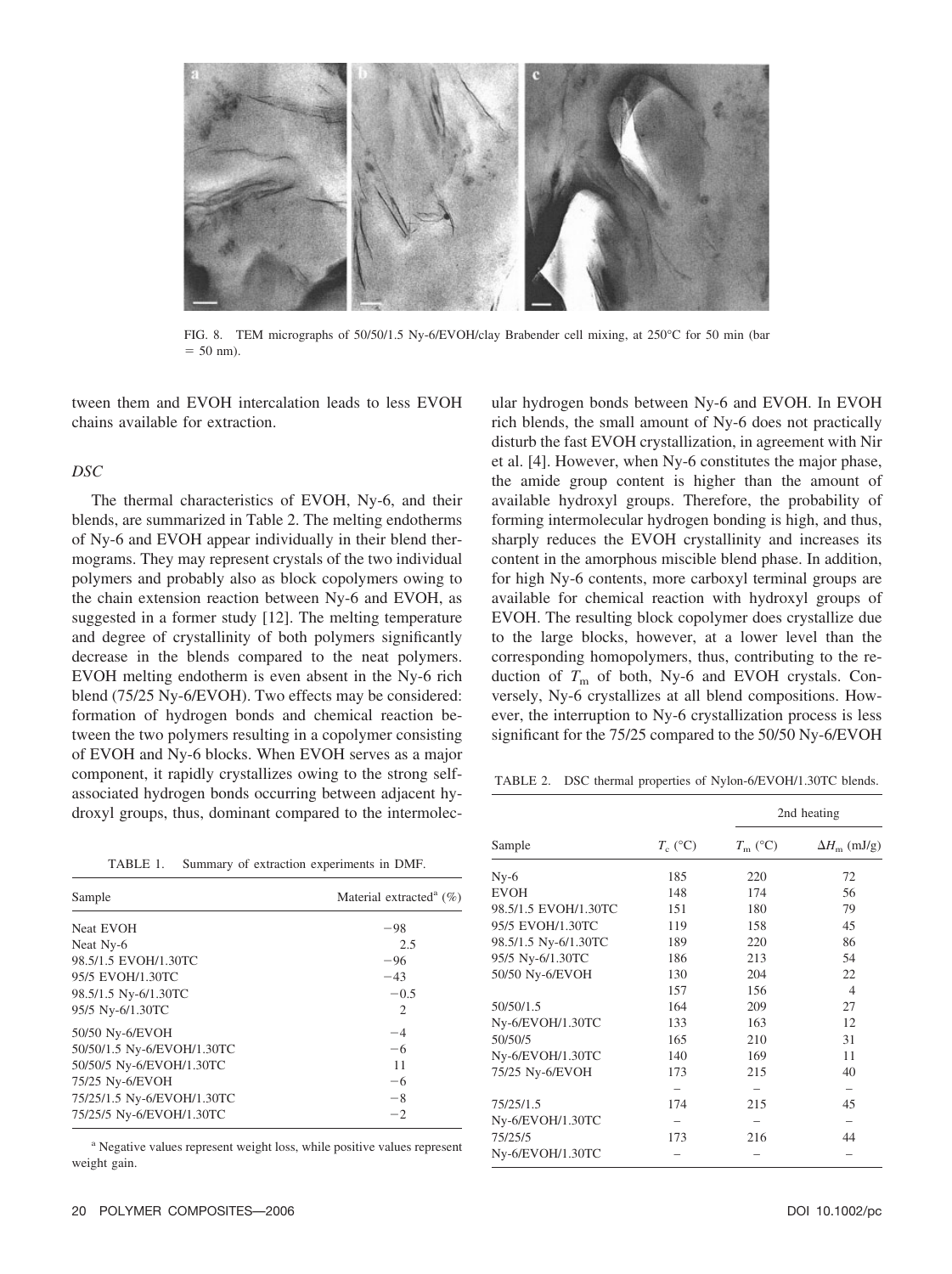

FIG. 8. TEM micrographs of 50/50/1.5 Ny-6/EVOH/clay Brabender cell mixing, at 250°C for 50 min (bar  $= 50$  nm).

tween them and EVOH intercalation leads to less EVOH chains available for extraction.

#### *DSC*

The thermal characteristics of EVOH, Ny-6, and their blends, are summarized in Table 2. The melting endotherms of Ny-6 and EVOH appear individually in their blend thermograms. They may represent crystals of the two individual polymers and probably also as block copolymers owing to the chain extension reaction between Ny-6 and EVOH, as suggested in a former study [12]. The melting temperature and degree of crystallinity of both polymers significantly decrease in the blends compared to the neat polymers. EVOH melting endotherm is even absent in the Ny-6 rich blend (75/25 Ny-6/EVOH). Two effects may be considered: formation of hydrogen bonds and chemical reaction between the two polymers resulting in a copolymer consisting of EVOH and Ny-6 blocks. When EVOH serves as a major component, it rapidly crystallizes owing to the strong selfassociated hydrogen bonds occurring between adjacent hydroxyl groups, thus, dominant compared to the intermolec-

| TABLE 1.<br>Summary of extraction experiments in DMF. |  |  |  |  |
|-------------------------------------------------------|--|--|--|--|
|-------------------------------------------------------|--|--|--|--|

| Sample                     | Material extracted <sup>a</sup> $(\%)$ |  |  |
|----------------------------|----------------------------------------|--|--|
| Neat EVOH                  | -98                                    |  |  |
| Neat Ny-6                  | 2.5                                    |  |  |
| 98.5/1.5 EVOH/1.30TC       | $-96$                                  |  |  |
| 95/5 EVOH/1.30TC           | $-43$                                  |  |  |
| 98.5/1.5 Ny-6/1.30TC       | $-0.5$                                 |  |  |
| 95/5 Ny-6/1.30TC           | 2                                      |  |  |
| 50/50 Ny-6/EVOH            | $-4$                                   |  |  |
| 50/50/1.5 Ny-6/EVOH/1.30TC | $-6$                                   |  |  |
| 50/50/5 Ny-6/EVOH/1.30TC   | 11                                     |  |  |
| 75/25 Ny-6/EVOH            | $-6$                                   |  |  |
| 75/25/1.5 Ny-6/EVOH/1.30TC | $-8$                                   |  |  |
| 75/25/5 Ny-6/EVOH/1.30TC   | $-2$                                   |  |  |

<sup>a</sup> Negative values represent weight loss, while positive values represent weight gain.

ular hydrogen bonds between Ny-6 and EVOH. In EVOH rich blends, the small amount of Ny-6 does not practically disturb the fast EVOH crystallization, in agreement with Nir et al. [4]. However, when Ny-6 constitutes the major phase, the amide group content is higher than the amount of available hydroxyl groups. Therefore, the probability of forming intermolecular hydrogen bonding is high, and thus, sharply reduces the EVOH crystallinity and increases its content in the amorphous miscible blend phase. In addition, for high Ny-6 contents, more carboxyl terminal groups are available for chemical reaction with hydroxyl groups of EVOH. The resulting block copolymer does crystallize due to the large blocks, however, at a lower level than the corresponding homopolymers, thus, contributing to the reduction of  $T<sub>m</sub>$  of both, Ny-6 and EVOH crystals. Conversely, Ny-6 crystallizes at all blend compositions. However, the interruption to Ny-6 crystallization process is less significant for the 75/25 compared to the 50/50 Ny-6/EVOH

TABLE 2. DSC thermal properties of Nylon-6/EVOH/1.30TC blends.

|                      |            | 2nd heating      |                           |  |
|----------------------|------------|------------------|---------------------------|--|
| Sample               | $T_c$ (°C) | $T_{\rm m}$ (°C) | $\Delta H_{\rm m}$ (mJ/g) |  |
| $Ny-6$               | 185        | 220              | 72                        |  |
| <b>EVOH</b>          | 148        | 174              | 56                        |  |
| 98.5/1.5 EVOH/1.30TC | 151        | 180              | 79                        |  |
| 95/5 EVOH/1.30TC     | 119        | 158              | 45                        |  |
| 98.5/1.5 Ny-6/1.30TC | 189        | 220              | 86                        |  |
| 95/5 Ny-6/1.30TC     | 186        | 213              | 54                        |  |
| 50/50 Ny-6/EVOH      | 130        | 204              | 22                        |  |
|                      | 157        | 156              | $\overline{4}$            |  |
| 50/50/1.5            | 164        | 209              | 27                        |  |
| Ny-6/EVOH/1.30TC     | 133        | 163              | 12                        |  |
| 50/50/5              | 165        | 210              | 31                        |  |
| Ny-6/EVOH/1.30TC     | 140        | 169              | 11                        |  |
| 75/25 Ny-6/EVOH      | 173        | 215              | 40                        |  |
|                      |            |                  |                           |  |
| 75/25/1.5            | 174        | 215              | 45                        |  |
| Ny-6/EVOH/1.30TC     |            |                  |                           |  |
| 75/25/5              | 173        | 216              | 44                        |  |
| Ny-6/EVOH/1.30TC     |            |                  |                           |  |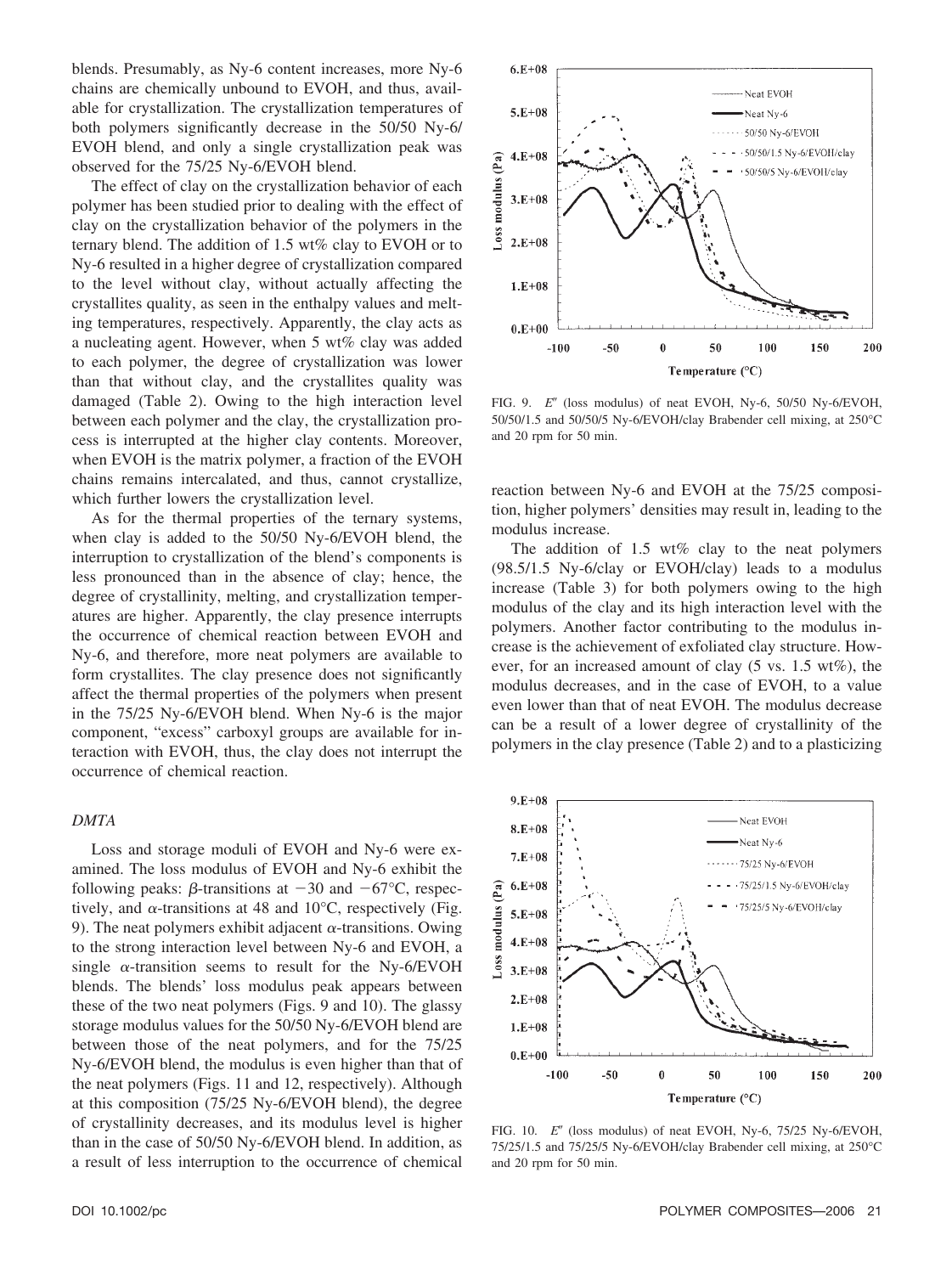blends. Presumably, as Ny-6 content increases, more Ny-6 chains are chemically unbound to EVOH, and thus, available for crystallization. The crystallization temperatures of both polymers significantly decrease in the 50/50 Ny-6/ EVOH blend, and only a single crystallization peak was observed for the 75/25 Ny-6/EVOH blend.

The effect of clay on the crystallization behavior of each polymer has been studied prior to dealing with the effect of clay on the crystallization behavior of the polymers in the ternary blend. The addition of 1.5 wt% clay to EVOH or to Ny-6 resulted in a higher degree of crystallization compared to the level without clay, without actually affecting the crystallites quality, as seen in the enthalpy values and melting temperatures, respectively. Apparently, the clay acts as a nucleating agent. However, when 5 wt% clay was added to each polymer, the degree of crystallization was lower than that without clay, and the crystallites quality was damaged (Table 2). Owing to the high interaction level between each polymer and the clay, the crystallization process is interrupted at the higher clay contents. Moreover, when EVOH is the matrix polymer, a fraction of the EVOH chains remains intercalated, and thus, cannot crystallize, which further lowers the crystallization level.

As for the thermal properties of the ternary systems, when clay is added to the 50/50 Ny-6/EVOH blend, the interruption to crystallization of the blend's components is less pronounced than in the absence of clay; hence, the degree of crystallinity, melting, and crystallization temperatures are higher. Apparently, the clay presence interrupts the occurrence of chemical reaction between EVOH and Ny-6, and therefore, more neat polymers are available to form crystallites. The clay presence does not significantly affect the thermal properties of the polymers when present in the 75/25 Ny-6/EVOH blend. When Ny-6 is the major component, "excess" carboxyl groups are available for interaction with EVOH, thus, the clay does not interrupt the occurrence of chemical reaction.

#### *DMTA*

Loss and storage moduli of EVOH and Ny-6 were examined. The loss modulus of EVOH and Ny-6 exhibit the following peaks:  $\beta$ -transitions at -30 and -67°C, respectively, and  $\alpha$ -transitions at 48 and 10 $^{\circ}$ C, respectively (Fig. 9). The neat polymers exhibit adjacent  $\alpha$ -transitions. Owing to the strong interaction level between Ny-6 and EVOH, a single  $\alpha$ -transition seems to result for the Ny-6/EVOH blends. The blends' loss modulus peak appears between these of the two neat polymers (Figs. 9 and 10). The glassy storage modulus values for the 50/50 Ny-6/EVOH blend are between those of the neat polymers, and for the 75/25 Ny-6/EVOH blend, the modulus is even higher than that of the neat polymers (Figs. 11 and 12, respectively). Although at this composition (75/25 Ny-6/EVOH blend), the degree of crystallinity decreases, and its modulus level is higher than in the case of 50/50 Ny-6/EVOH blend. In addition, as a result of less interruption to the occurrence of chemical



FIG. 9. *E*<sup>*'*</sup> (loss modulus) of neat EVOH, Ny-6, 50/50 Ny-6/EVOH, 50/50/1.5 and 50/50/5 Ny-6/EVOH/clay Brabender cell mixing, at 250°C and 20 rpm for 50 min.

reaction between Ny-6 and EVOH at the 75/25 composition, higher polymers' densities may result in, leading to the modulus increase.

The addition of 1.5 wt% clay to the neat polymers (98.5/1.5 Ny-6/clay or EVOH/clay) leads to a modulus increase (Table 3) for both polymers owing to the high modulus of the clay and its high interaction level with the polymers. Another factor contributing to the modulus increase is the achievement of exfoliated clay structure. However, for an increased amount of clay (5 vs. 1.5 wt%), the modulus decreases, and in the case of EVOH, to a value even lower than that of neat EVOH. The modulus decrease can be a result of a lower degree of crystallinity of the polymers in the clay presence (Table 2) and to a plasticizing



FIG. 10. *E*<sup>*r*</sup> (loss modulus) of neat EVOH, Ny-6, 75/25 Ny-6/EVOH, 75/25/1.5 and 75/25/5 Ny-6/EVOH/clay Brabender cell mixing, at 250°C and 20 rpm for 50 min.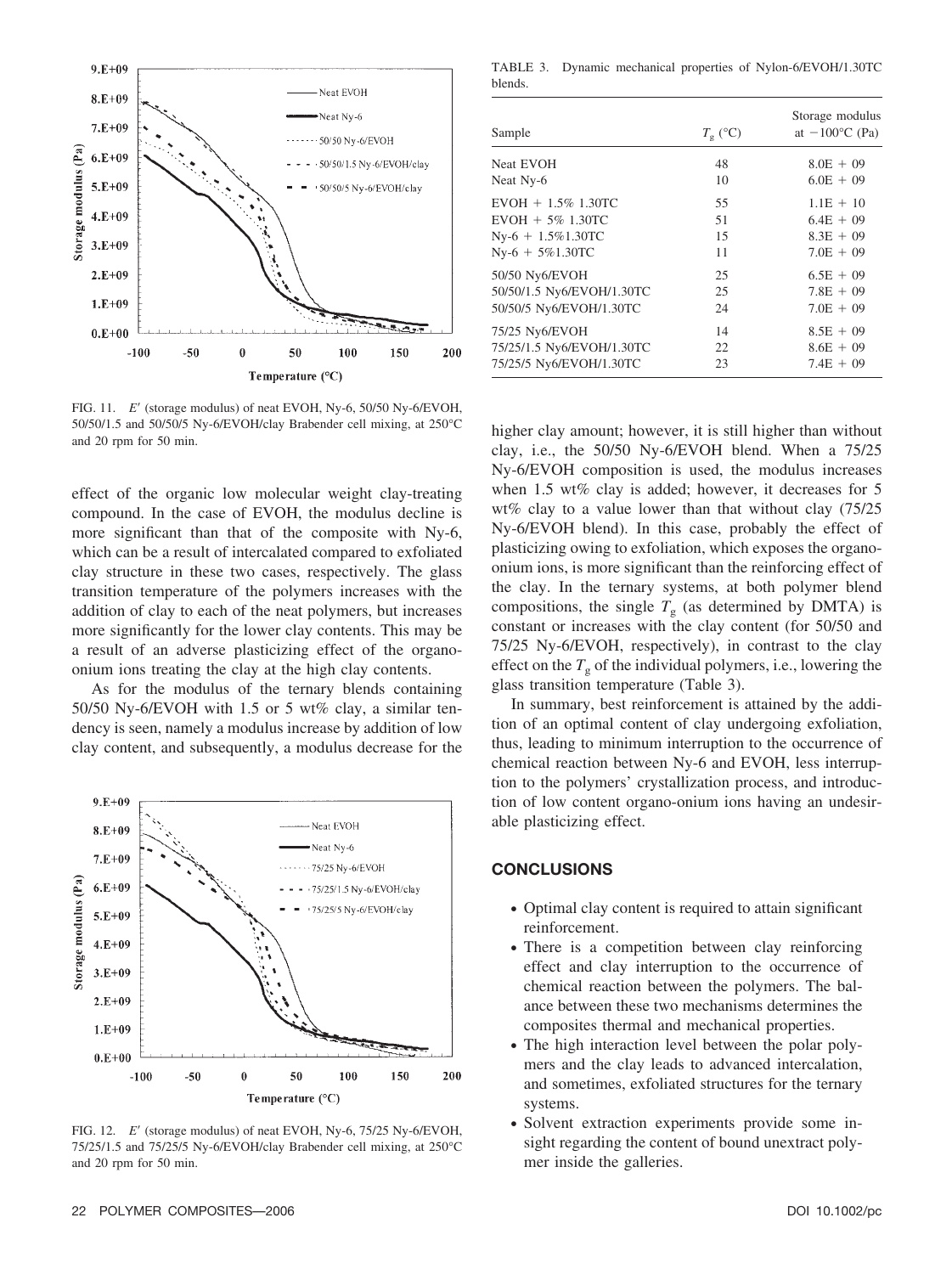

FIG. 11. *E'* (storage modulus) of neat EVOH, Ny-6, 50/50 Ny-6/EVOH, 50/50/1.5 and 50/50/5 Ny-6/EVOH/clay Brabender cell mixing, at 250°C and 20 rpm for 50 min.

effect of the organic low molecular weight clay-treating compound. In the case of EVOH, the modulus decline is more significant than that of the composite with Ny-6, which can be a result of intercalated compared to exfoliated clay structure in these two cases, respectively. The glass transition temperature of the polymers increases with the addition of clay to each of the neat polymers, but increases more significantly for the lower clay contents. This may be a result of an adverse plasticizing effect of the organoonium ions treating the clay at the high clay contents.

As for the modulus of the ternary blends containing 50/50 Ny-6/EVOH with 1.5 or 5 wt% clay, a similar tendency is seen, namely a modulus increase by addition of low clay content, and subsequently, a modulus decrease for the



FIG. 12. *E'* (storage modulus) of neat EVOH, Ny-6, 75/25 Ny-6/EVOH, 75/25/1.5 and 75/25/5 Ny-6/EVOH/clay Brabender cell mixing, at 250°C and 20 rpm for 50 min.

TABLE 3. Dynamic mechanical properties of Nylon-6/EVOH/1.30TC blends.

| Sample                    | $T_{\sigma}$ (°C) | Storage modulus<br>at $-100$ °C (Pa) |
|---------------------------|-------------------|--------------------------------------|
| Neat EVOH                 | 48                | $8.0E + 09$                          |
| Neat Ny-6                 | 10                | $6.0E + 09$                          |
| $EVOH + 1.5\%$ 1.30TC     | 55                | $1.1E + 10$                          |
| $EVOH + 5\%$ 1.30TC       | 51                | $6.4E + 09$                          |
| $Ny-6 + 1.5\%1.30TC$      | 15                | $8.3E + 09$                          |
| $Ny-6 + 5\%1.30TC$        | 11                | $7.0E + 09$                          |
| 50/50 Ny6/EVOH            | 25                | $6.5E + 09$                          |
| 50/50/1.5 Ny6/EVOH/1.30TC | 25                | $7.8E + 09$                          |
| 50/50/5 Ny6/EVOH/1.30TC   | 24                | $7.0E + 09$                          |
| 75/25 Ny6/EVOH            | 14                | $8.5E + 09$                          |
| 75/25/1.5 Ny6/EVOH/1.30TC | 22                | $8.6E + 09$                          |
| 75/25/5 Ny6/EVOH/1.30TC   | 23                | $7.4E + 09$                          |

higher clay amount; however, it is still higher than without clay, i.e., the 50/50 Ny-6/EVOH blend. When a 75/25 Ny-6/EVOH composition is used, the modulus increases when 1.5 wt% clay is added; however, it decreases for 5 wt% clay to a value lower than that without clay (75/25 Ny-6/EVOH blend). In this case, probably the effect of plasticizing owing to exfoliation, which exposes the organoonium ions, is more significant than the reinforcing effect of the clay. In the ternary systems, at both polymer blend compositions, the single  $T_g$  (as determined by DMTA) is constant or increases with the clay content (for 50/50 and 75/25 Ny-6/EVOH, respectively), in contrast to the clay effect on the  $T<sub>g</sub>$  of the individual polymers, i.e., lowering the glass transition temperature (Table 3).

In summary, best reinforcement is attained by the addition of an optimal content of clay undergoing exfoliation, thus, leading to minimum interruption to the occurrence of chemical reaction between Ny-6 and EVOH, less interruption to the polymers' crystallization process, and introduction of low content organo-onium ions having an undesirable plasticizing effect.

## **CONCLUSIONS**

- Optimal clay content is required to attain significant reinforcement.
- There is a competition between clay reinforcing effect and clay interruption to the occurrence of chemical reaction between the polymers. The balance between these two mechanisms determines the composites thermal and mechanical properties.
- The high interaction level between the polar polymers and the clay leads to advanced intercalation, and sometimes, exfoliated structures for the ternary systems.
- Solvent extraction experiments provide some insight regarding the content of bound unextract polymer inside the galleries.